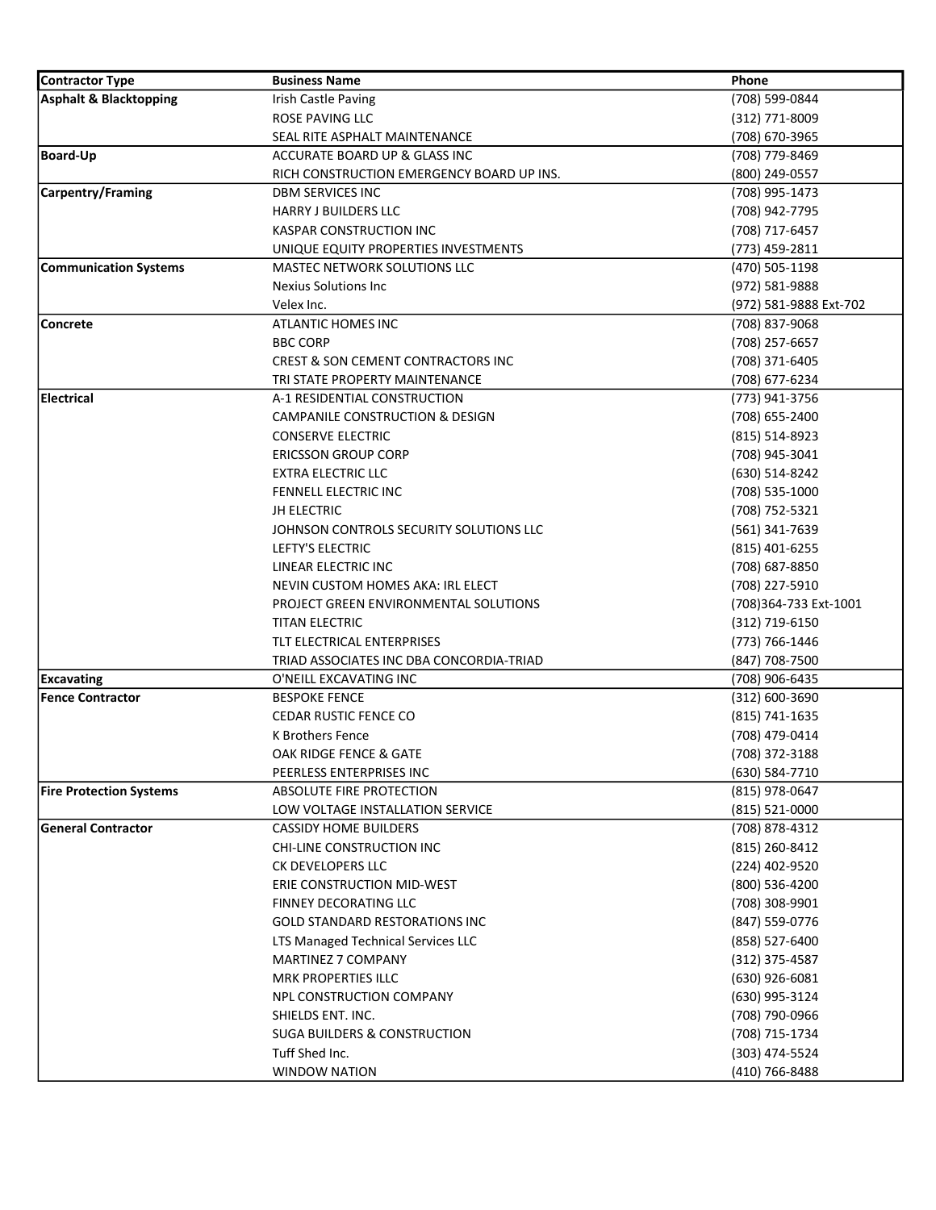| <b>Contractor Type</b>         | <b>Business Name</b>                          | Phone                  |
|--------------------------------|-----------------------------------------------|------------------------|
| Asphalt & Blacktopping         | Irish Castle Paving                           | (708) 599-0844         |
|                                | ROSE PAVING LLC                               | $(312)$ 771-8009       |
|                                | SEAL RITE ASPHALT MAINTENANCE                 | (708) 670-3965         |
| <b>Board-Up</b>                | ACCURATE BOARD UP & GLASS INC                 | (708) 779-8469         |
|                                | RICH CONSTRUCTION EMERGENCY BOARD UP INS.     | (800) 249-0557         |
| <b>Carpentry/Framing</b>       | <b>DBM SERVICES INC</b>                       | (708) 995-1473         |
|                                | <b>HARRY J BUILDERS LLC</b>                   | (708) 942-7795         |
|                                | KASPAR CONSTRUCTION INC                       | (708) 717-6457         |
|                                | UNIQUE EQUITY PROPERTIES INVESTMENTS          | (773) 459-2811         |
| <b>Communication Systems</b>   | <b>MASTEC NETWORK SOLUTIONS LLC</b>           | (470) 505-1198         |
|                                | Nexius Solutions Inc                          | (972) 581-9888         |
|                                | Velex Inc.                                    | (972) 581-9888 Ext-702 |
| Concrete                       | <b>ATLANTIC HOMES INC</b>                     | (708) 837-9068         |
|                                | <b>BBC CORP</b>                               | (708) 257-6657         |
|                                | <b>CREST &amp; SON CEMENT CONTRACTORS INC</b> | (708) 371-6405         |
|                                | TRI STATE PROPERTY MAINTENANCE                | (708) 677-6234         |
| <b>Electrical</b>              | A-1 RESIDENTIAL CONSTRUCTION                  | (773) 941-3756         |
|                                | <b>CAMPANILE CONSTRUCTION &amp; DESIGN</b>    | (708) 655-2400         |
|                                | <b>CONSERVE ELECTRIC</b>                      | (815) 514-8923         |
|                                | <b>ERICSSON GROUP CORP</b>                    | (708) 945-3041         |
|                                | <b>EXTRA ELECTRIC LLC</b>                     | (630) 514-8242         |
|                                | FENNELL ELECTRIC INC.                         | (708) 535-1000         |
|                                | <b>JH ELECTRIC</b>                            | (708) 752-5321         |
|                                | JOHNSON CONTROLS SECURITY SOLUTIONS LLC       | (561) 341-7639         |
|                                | LEFTY'S ELECTRIC                              | (815) 401-6255         |
|                                | LINEAR ELECTRIC INC                           | (708) 687-8850         |
|                                | NEVIN CUSTOM HOMES AKA: IRL ELECT             | (708) 227-5910         |
|                                | PROJECT GREEN ENVIRONMENTAL SOLUTIONS         | (708)364-733 Ext-1001  |
|                                | <b>TITAN ELECTRIC</b>                         | (312) 719-6150         |
|                                | TLT ELECTRICAL ENTERPRISES                    | (773) 766-1446         |
|                                | TRIAD ASSOCIATES INC DBA CONCORDIA-TRIAD      | (847) 708-7500         |
| <b>Excavating</b>              | O'NEILL EXCAVATING INC                        | (708) 906-6435         |
| <b>Fence Contractor</b>        | <b>BESPOKE FENCE</b>                          | $(312) 600 - 3690$     |
|                                | <b>CEDAR RUSTIC FENCE CO</b>                  | (815) 741-1635         |
|                                | <b>K Brothers Fence</b>                       | (708) 479-0414         |
|                                | OAK RIDGE FENCE & GATE                        | (708) 372-3188         |
|                                | PEERLESS ENTERPRISES INC                      | (630) 584-7710         |
| <b>Fire Protection Systems</b> | ABSOLUTE FIRE PROTECTION                      | (815) 978-0647         |
|                                | LOW VOLTAGE INSTALLATION SERVICE              | $(815)$ 521-0000       |
| <b>General Contractor</b>      | <b>CASSIDY HOME BUILDERS</b>                  | (708) 878-4312         |
|                                | CHI-LINE CONSTRUCTION INC                     | (815) 260-8412         |
|                                | CK DEVELOPERS LLC                             | (224) 402-9520         |
|                                | ERIE CONSTRUCTION MID-WEST                    | (800) 536-4200         |
|                                | <b>FINNEY DECORATING LLC</b>                  | (708) 308-9901         |
|                                | <b>GOLD STANDARD RESTORATIONS INC</b>         | (847) 559-0776         |
|                                | LTS Managed Technical Services LLC            | (858) 527-6400         |
|                                | <b>MARTINEZ 7 COMPANY</b>                     | (312) 375-4587         |
|                                | <b>MRK PROPERTIES ILLC</b>                    | (630) 926-6081         |
|                                | NPL CONSTRUCTION COMPANY                      | (630) 995-3124         |
|                                | SHIELDS ENT. INC.                             | (708) 790-0966         |
|                                | <b>SUGA BUILDERS &amp; CONSTRUCTION</b>       | (708) 715-1734         |
|                                | Tuff Shed Inc.                                | (303) 474-5524         |
|                                | <b>WINDOW NATION</b>                          | (410) 766-8488         |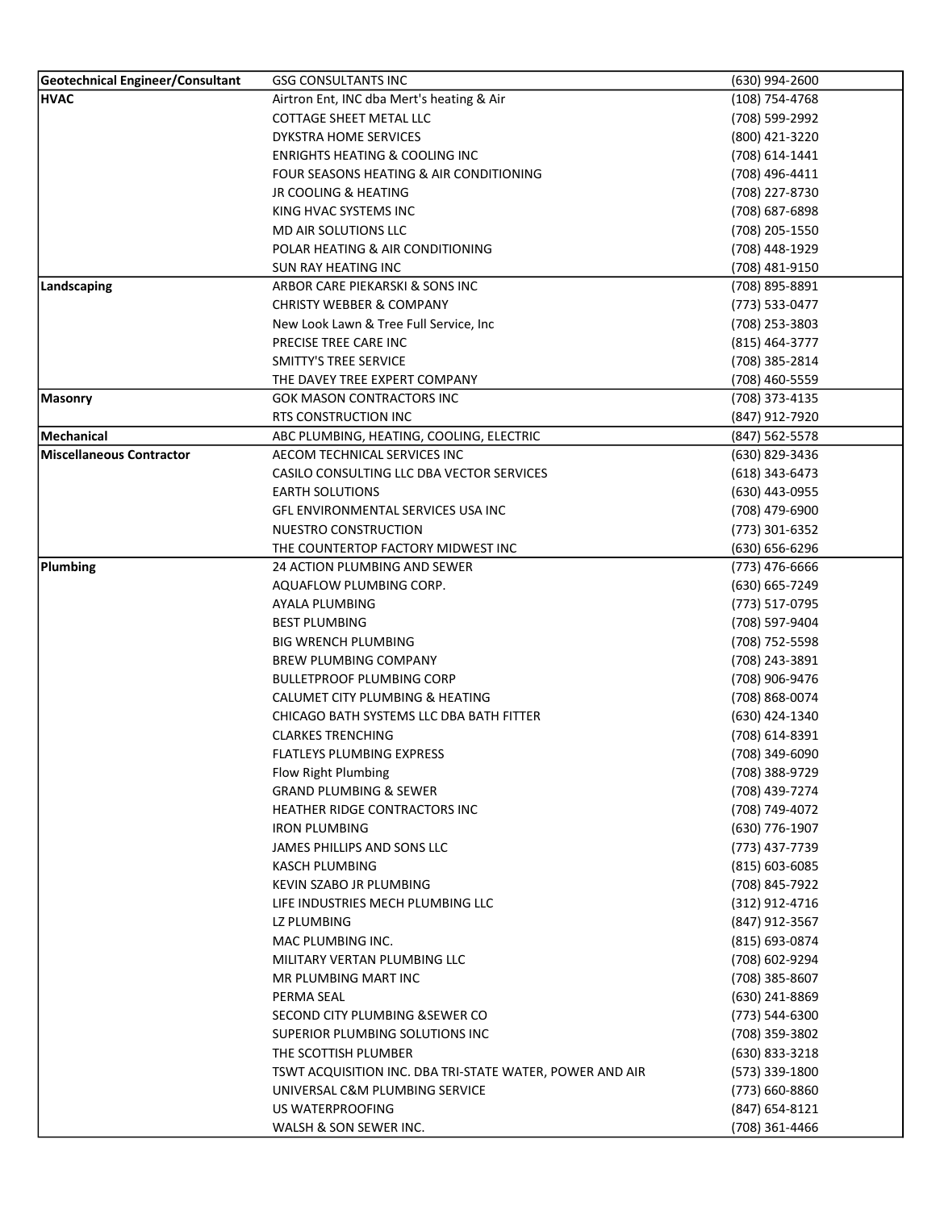| Geotechnical Engineer/Consultant | <b>GSG CONSULTANTS INC</b>                               | (630) 994-2600     |
|----------------------------------|----------------------------------------------------------|--------------------|
| <b>HVAC</b>                      | Airtron Ent, INC dba Mert's heating & Air                | $(108)$ 754-4768   |
|                                  | COTTAGE SHEET METAL LLC                                  | (708) 599-2992     |
|                                  | DYKSTRA HOME SERVICES                                    | (800) 421-3220     |
|                                  | <b>ENRIGHTS HEATING &amp; COOLING INC</b>                | (708) 614-1441     |
|                                  | FOUR SEASONS HEATING & AIR CONDITIONING                  | (708) 496-4411     |
|                                  | <b>JR COOLING &amp; HEATING</b>                          | (708) 227-8730     |
|                                  | KING HVAC SYSTEMS INC                                    | (708) 687-6898     |
|                                  | MD AIR SOLUTIONS LLC                                     | (708) 205-1550     |
|                                  | POLAR HEATING & AIR CONDITIONING                         | (708) 448-1929     |
|                                  | SUN RAY HEATING INC                                      | (708) 481-9150     |
| Landscaping                      | ARBOR CARE PIEKARSKI & SONS INC                          | (708) 895-8891     |
|                                  | <b>CHRISTY WEBBER &amp; COMPANY</b>                      | (773) 533-0477     |
|                                  | New Look Lawn & Tree Full Service, Inc                   | (708) 253-3803     |
|                                  | PRECISE TREE CARE INC                                    | (815) 464-3777     |
|                                  | <b>SMITTY'S TREE SERVICE</b>                             | (708) 385-2814     |
|                                  | THE DAVEY TREE EXPERT COMPANY                            | (708) 460-5559     |
| Masonry                          | <b>GOK MASON CONTRACTORS INC</b>                         | (708) 373-4135     |
|                                  | <b>RTS CONSTRUCTION INC</b>                              | (847) 912-7920     |
| <b>Mechanical</b>                | ABC PLUMBING, HEATING, COOLING, ELECTRIC                 | (847) 562-5578     |
| <b>Miscellaneous Contractor</b>  | AECOM TECHNICAL SERVICES INC                             | (630) 829-3436     |
|                                  | CASILO CONSULTING LLC DBA VECTOR SERVICES                | $(618)$ 343-6473   |
|                                  | <b>EARTH SOLUTIONS</b>                                   | (630) 443-0955     |
|                                  | GFL ENVIRONMENTAL SERVICES USA INC                       | (708) 479-6900     |
|                                  | NUESTRO CONSTRUCTION                                     | (773) 301-6352     |
|                                  | THE COUNTERTOP FACTORY MIDWEST INC                       | (630) 656-6296     |
| Plumbing                         | 24 ACTION PLUMBING AND SEWER                             | (773) 476-6666     |
|                                  | AQUAFLOW PLUMBING CORP.                                  | (630) 665-7249     |
|                                  | AYALA PLUMBING                                           | (773) 517-0795     |
|                                  | <b>BEST PLUMBING</b>                                     | (708) 597-9404     |
|                                  | <b>BIG WRENCH PLUMBING</b>                               | (708) 752-5598     |
|                                  | <b>BREW PLUMBING COMPANY</b>                             | (708) 243-3891     |
|                                  | <b>BULLETPROOF PLUMBING CORP</b>                         | (708) 906-9476     |
|                                  | <b>CALUMET CITY PLUMBING &amp; HEATING</b>               | (708) 868-0074     |
|                                  | CHICAGO BATH SYSTEMS LLC DBA BATH FITTER                 | (630) 424-1340     |
|                                  | <b>CLARKES TRENCHING</b>                                 | (708) 614-8391     |
|                                  | <b>FLATLEYS PLUMBING EXPRESS</b>                         | (708) 349-6090     |
|                                  | Flow Right Plumbing                                      | (708) 388-9729     |
|                                  | <b>GRAND PLUMBING &amp; SEWER</b>                        | (708) 439-7274     |
|                                  | <b>HEATHER RIDGE CONTRACTORS INC</b>                     | (708) 749-4072     |
|                                  | <b>IRON PLUMBING</b>                                     | (630) 776-1907     |
|                                  | JAMES PHILLIPS AND SONS LLC                              | (773) 437-7739     |
|                                  | KASCH PLUMBING                                           | $(815) 603 - 6085$ |
|                                  | KEVIN SZABO JR PLUMBING                                  | (708) 845-7922     |
|                                  | LIFE INDUSTRIES MECH PLUMBING LLC                        | (312) 912-4716     |
|                                  | LZ PLUMBING                                              | (847) 912-3567     |
|                                  | MAC PLUMBING INC.                                        | $(815) 693 - 0874$ |
|                                  | MILITARY VERTAN PLUMBING LLC                             | (708) 602-9294     |
|                                  | MR PLUMBING MART INC                                     | (708) 385-8607     |
|                                  | PERMA SEAL                                               | (630) 241-8869     |
|                                  | SECOND CITY PLUMBING & SEWER CO                          | (773) 544-6300     |
|                                  | SUPERIOR PLUMBING SOLUTIONS INC                          | (708) 359-3802     |
|                                  | THE SCOTTISH PLUMBER                                     | $(630)$ 833-3218   |
|                                  | TSWT ACQUISITION INC. DBA TRI-STATE WATER, POWER AND AIR | (573) 339-1800     |
|                                  | UNIVERSAL C&M PLUMBING SERVICE                           | (773) 660-8860     |
|                                  | US WATERPROOFING                                         | (847) 654-8121     |
|                                  | WALSH & SON SEWER INC.                                   | (708) 361-4466     |
|                                  |                                                          |                    |